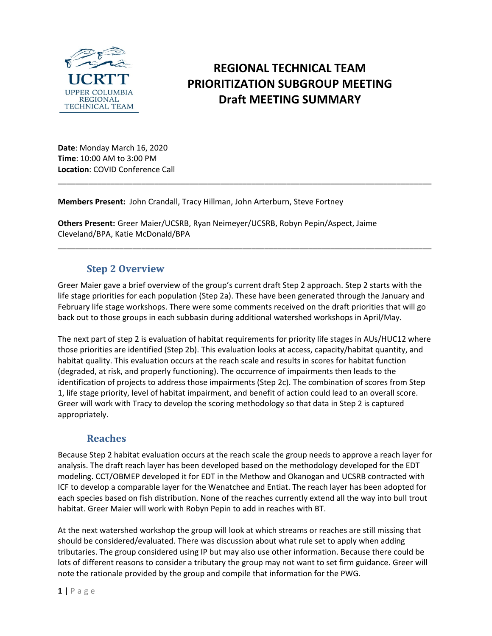

# **REGIONAL TECHNICAL TEAM PRIORITIZATION SUBGROUP MEETING Draft MEETING SUMMARY**

**Date**: Monday March 16, 2020 **Time**: 10:00 AM to 3:00 PM **Location**: COVID Conference Call

**Members Present:** John Crandall, Tracy Hillman, John Arterburn, Steve Fortney

**Others Present:** Greer Maier/UCSRB, Ryan Neimeyer/UCSRB, Robyn Pepin/Aspect, Jaime Cleveland/BPA, Katie McDonald/BPA

## **Step 2 Overview**

Greer Maier gave a brief overview of the group's current draft Step 2 approach. Step 2 starts with the life stage priorities for each population (Step 2a). These have been generated through the January and February life stage workshops. There were some comments received on the draft priorities that will go back out to those groups in each subbasin during additional watershed workshops in April/May.

\_\_\_\_\_\_\_\_\_\_\_\_\_\_\_\_\_\_\_\_\_\_\_\_\_\_\_\_\_\_\_\_\_\_\_\_\_\_\_\_\_\_\_\_\_\_\_\_\_\_\_\_\_\_\_\_\_\_\_\_\_\_\_\_\_\_\_\_\_\_\_\_\_\_\_\_\_\_\_\_\_\_\_\_\_

\_\_\_\_\_\_\_\_\_\_\_\_\_\_\_\_\_\_\_\_\_\_\_\_\_\_\_\_\_\_\_\_\_\_\_\_\_\_\_\_\_\_\_\_\_\_\_\_\_\_\_\_\_\_\_\_\_\_\_\_\_\_\_\_\_\_\_\_\_\_\_\_\_\_\_\_\_\_\_\_\_\_\_\_\_

The next part of step 2 is evaluation of habitat requirements for priority life stages in AUs/HUC12 where those priorities are identified (Step 2b). This evaluation looks at access, capacity/habitat quantity, and habitat quality. This evaluation occurs at the reach scale and results in scores for habitat function (degraded, at risk, and properly functioning). The occurrence of impairments then leads to the identification of projects to address those impairments (Step 2c). The combination of scores from Step 1, life stage priority, level of habitat impairment, and benefit of action could lead to an overall score. Greer will work with Tracy to develop the scoring methodology so that data in Step 2 is captured appropriately.

## **Reaches**

Because Step 2 habitat evaluation occurs at the reach scale the group needs to approve a reach layer for analysis. The draft reach layer has been developed based on the methodology developed for the EDT modeling. CCT/OBMEP developed it for EDT in the Methow and Okanogan and UCSRB contracted with ICF to develop a comparable layer for the Wenatchee and Entiat. The reach layer has been adopted for each species based on fish distribution. None of the reaches currently extend all the way into bull trout habitat. Greer Maier will work with Robyn Pepin to add in reaches with BT.

At the next watershed workshop the group will look at which streams or reaches are still missing that should be considered/evaluated. There was discussion about what rule set to apply when adding tributaries. The group considered using IP but may also use other information. Because there could be lots of different reasons to consider a tributary the group may not want to set firm guidance. Greer will note the rationale provided by the group and compile that information for the PWG.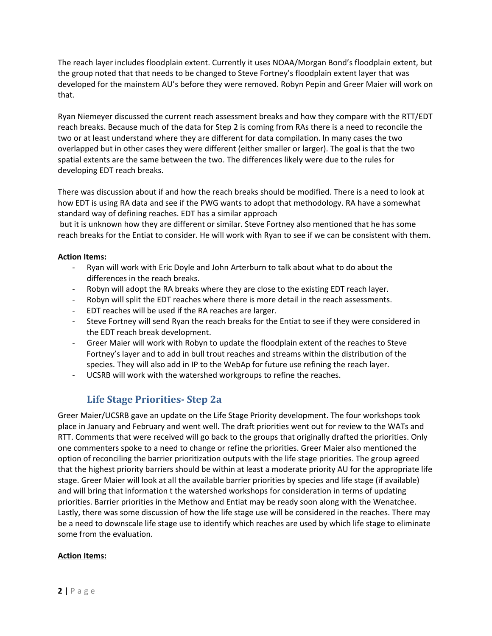The reach layer includes floodplain extent. Currently it uses NOAA/Morgan Bond's floodplain extent, but the group noted that that needs to be changed to Steve Fortney's floodplain extent layer that was developed for the mainstem AU's before they were removed. Robyn Pepin and Greer Maier will work on that.

Ryan Niemeyer discussed the current reach assessment breaks and how they compare with the RTT/EDT reach breaks. Because much of the data for Step 2 is coming from RAs there is a need to reconcile the two or at least understand where they are different for data compilation. In many cases the two overlapped but in other cases they were different (either smaller or larger). The goal is that the two spatial extents are the same between the two. The differences likely were due to the rules for developing EDT reach breaks.

There was discussion about if and how the reach breaks should be modified. There is a need to look at how EDT is using RA data and see if the PWG wants to adopt that methodology. RA have a somewhat standard way of defining reaches. EDT has a similar approach

but it is unknown how they are different or similar. Steve Fortney also mentioned that he has some reach breaks for the Entiat to consider. He will work with Ryan to see if we can be consistent with them.

#### **Action Items:**

- Ryan will work with Eric Doyle and John Arterburn to talk about what to do about the differences in the reach breaks.
- Robyn will adopt the RA breaks where they are close to the existing EDT reach layer.
- Robyn will split the EDT reaches where there is more detail in the reach assessments.
- EDT reaches will be used if the RA reaches are larger.
- Steve Fortney will send Ryan the reach breaks for the Entiat to see if they were considered in the EDT reach break development.
- Greer Maier will work with Robyn to update the floodplain extent of the reaches to Steve Fortney's layer and to add in bull trout reaches and streams within the distribution of the species. They will also add in IP to the WebAp for future use refining the reach layer.
- UCSRB will work with the watershed workgroups to refine the reaches.

# **Life Stage Priorities- Step 2a**

Greer Maier/UCSRB gave an update on the Life Stage Priority development. The four workshops took place in January and February and went well. The draft priorities went out for review to the WATs and RTT. Comments that were received will go back to the groups that originally drafted the priorities. Only one commenters spoke to a need to change or refine the priorities. Greer Maier also mentioned the option of reconciling the barrier prioritization outputs with the life stage priorities. The group agreed that the highest priority barriers should be within at least a moderate priority AU for the appropriate life stage. Greer Maier will look at all the available barrier priorities by species and life stage (if available) and will bring that information t the watershed workshops for consideration in terms of updating priorities. Barrier priorities in the Methow and Entiat may be ready soon along with the Wenatchee. Lastly, there was some discussion of how the life stage use will be considered in the reaches. There may be a need to downscale life stage use to identify which reaches are used by which life stage to eliminate some from the evaluation.

### **Action Items:**